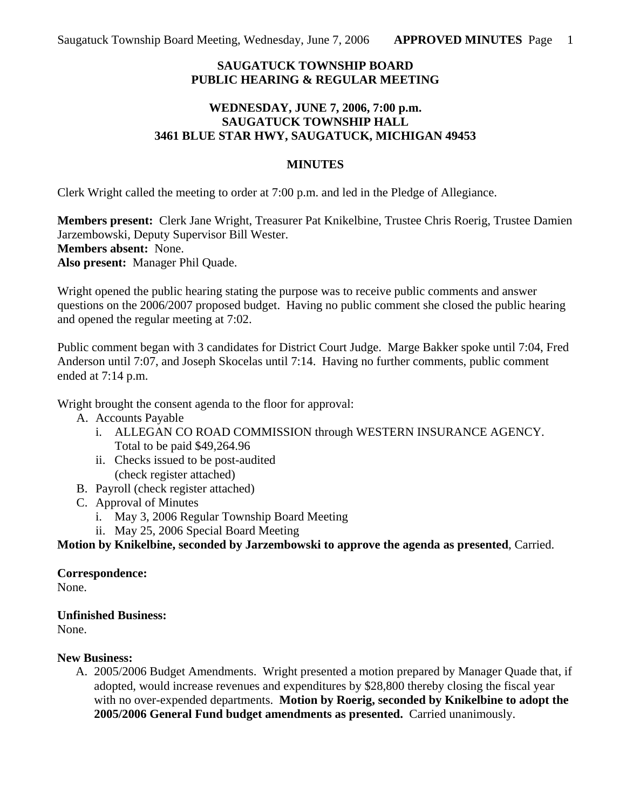## **SAUGATUCK TOWNSHIP BOARD PUBLIC HEARING & REGULAR MEETING**

### **WEDNESDAY, JUNE 7, 2006, 7:00 p.m. SAUGATUCK TOWNSHIP HALL 3461 BLUE STAR HWY, SAUGATUCK, MICHIGAN 49453**

#### **MINUTES**

Clerk Wright called the meeting to order at 7:00 p.m. and led in the Pledge of Allegiance.

**Members present:** Clerk Jane Wright, Treasurer Pat Knikelbine, Trustee Chris Roerig, Trustee Damien Jarzembowski, Deputy Supervisor Bill Wester. **Members absent:** None. **Also present:** Manager Phil Quade.

Wright opened the public hearing stating the purpose was to receive public comments and answer questions on the 2006/2007 proposed budget. Having no public comment she closed the public hearing and opened the regular meeting at 7:02.

Public comment began with 3 candidates for District Court Judge. Marge Bakker spoke until 7:04, Fred Anderson until 7:07, and Joseph Skocelas until 7:14. Having no further comments, public comment ended at 7:14 p.m.

Wright brought the consent agenda to the floor for approval:

- A. Accounts Payable
	- i. ALLEGAN CO ROAD COMMISSION through WESTERN INSURANCE AGENCY. Total to be paid \$49,264.96
	- ii. Checks issued to be post-audited (check register attached)
- B. Payroll (check register attached)
- C. Approval of Minutes
	- i. May 3, 2006 Regular Township Board Meeting
	- ii. May 25, 2006 Special Board Meeting

**Motion by Knikelbine, seconded by Jarzembowski to approve the agenda as presented**, Carried.

**Correspondence:**

None.

**Unfinished Business:**

None.

### **New Business:**

A. 2005/2006 Budget Amendments. Wright presented a motion prepared by Manager Quade that, if adopted, would increase revenues and expenditures by \$28,800 thereby closing the fiscal year with no over-expended departments. **Motion by Roerig, seconded by Knikelbine to adopt the 2005/2006 General Fund budget amendments as presented.** Carried unanimously.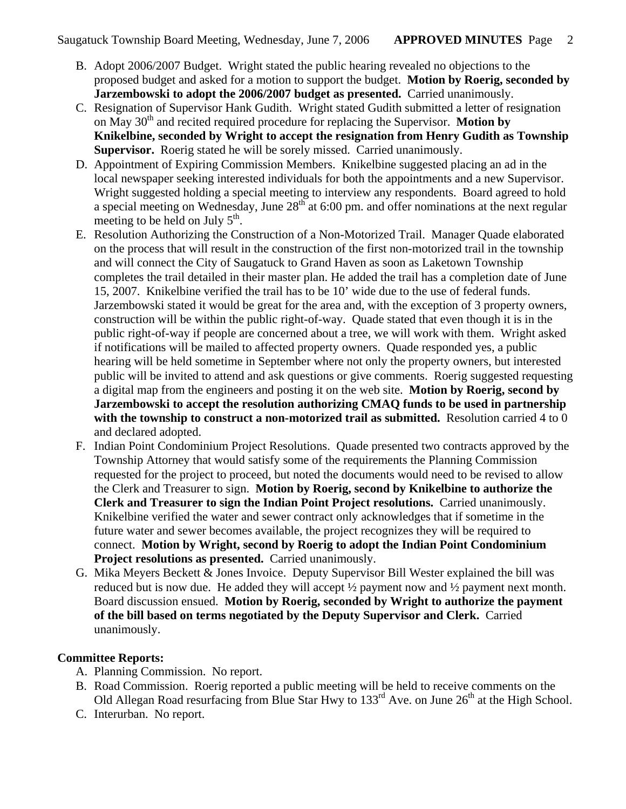- B. Adopt 2006/2007 Budget. Wright stated the public hearing revealed no objections to the proposed budget and asked for a motion to support the budget. **Motion by Roerig, seconded by Jarzembowski to adopt the 2006/2007 budget as presented.** Carried unanimously.
- C. Resignation of Supervisor Hank Gudith. Wright stated Gudith submitted a letter of resignation on May 30<sup>th</sup> and recited required procedure for replacing the Supervisor. Motion by **Knikelbine, seconded by Wright to accept the resignation from Henry Gudith as Township Supervisor.** Roerig stated he will be sorely missed. Carried unanimously.
- D. Appointment of Expiring Commission Members. Knikelbine suggested placing an ad in the local newspaper seeking interested individuals for both the appointments and a new Supervisor. Wright suggested holding a special meeting to interview any respondents. Board agreed to hold a special meeting on Wednesday, June  $28<sup>th</sup>$  at 6:00 pm. and offer nominations at the next regular meeting to be held on July  $5<sup>th</sup>$ .
- E. Resolution Authorizing the Construction of a Non-Motorized Trail. Manager Quade elaborated on the process that will result in the construction of the first non-motorized trail in the township and will connect the City of Saugatuck to Grand Haven as soon as Laketown Township completes the trail detailed in their master plan. He added the trail has a completion date of June 15, 2007. Knikelbine verified the trail has to be 10' wide due to the use of federal funds. Jarzembowski stated it would be great for the area and, with the exception of 3 property owners, construction will be within the public right-of-way. Quade stated that even though it is in the public right-of-way if people are concerned about a tree, we will work with them. Wright asked if notifications will be mailed to affected property owners. Quade responded yes, a public hearing will be held sometime in September where not only the property owners, but interested public will be invited to attend and ask questions or give comments. Roerig suggested requesting a digital map from the engineers and posting it on the web site. **Motion by Roerig, second by Jarzembowski to accept the resolution authorizing CMAQ funds to be used in partnership with the township to construct a non-motorized trail as submitted.** Resolution carried 4 to 0 and declared adopted.
- F. Indian Point Condominium Project Resolutions. Quade presented two contracts approved by the Township Attorney that would satisfy some of the requirements the Planning Commission requested for the project to proceed, but noted the documents would need to be revised to allow the Clerk and Treasurer to sign. **Motion by Roerig, second by Knikelbine to authorize the Clerk and Treasurer to sign the Indian Point Project resolutions.** Carried unanimously. Knikelbine verified the water and sewer contract only acknowledges that if sometime in the future water and sewer becomes available, the project recognizes they will be required to connect. **Motion by Wright, second by Roerig to adopt the Indian Point Condominium Project resolutions as presented.** Carried unanimously.
- G. Mika Meyers Beckett & Jones Invoice. Deputy Supervisor Bill Wester explained the bill was reduced but is now due. He added they will accept  $\frac{1}{2}$  payment now and  $\frac{1}{2}$  payment next month. Board discussion ensued. **Motion by Roerig, seconded by Wright to authorize the payment of the bill based on terms negotiated by the Deputy Supervisor and Clerk.** Carried unanimously.

# **Committee Reports:**

- A. Planning Commission. No report.
- B. Road Commission. Roerig reported a public meeting will be held to receive comments on the Old Allegan Road resurfacing from Blue Star Hwy to  $133<sup>rd</sup>$  Ave. on June  $26<sup>th</sup>$  at the High School.
- C. Interurban. No report.